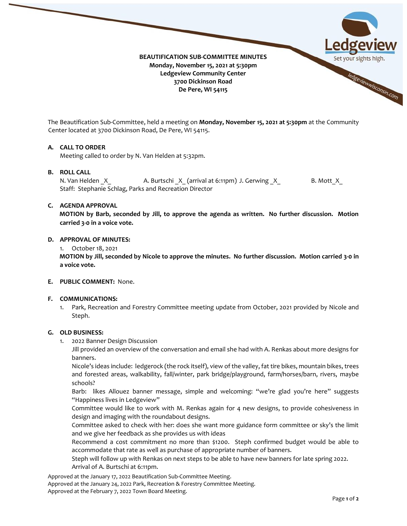

The Beautification Sub-Committee, held a meeting on **Monday, November 15, 2021 at 5:30pm** at the Community Center located at 3700 Dickinson Road, De Pere, WI 54115.

# **A. CALL TO ORDER**

Meeting called to order by N. Van Helden at 5:32pm.

# **B. ROLL CALL**

N. Van Helden X A. Burtschi X (arrival at 6:11pm) J. Gerwing X B. Mott X Staff: Stephanie Schlag, Parks and Recreation Director

#### **C. AGENDA APPROVAL**

**MOTION by Barb, seconded by Jill, to approve the agenda as written. No further discussion. Motion carried 3-0 in a voice vote.** 

#### **D. APPROVAL OF MINUTES:**

1. October 18, 2021

**MOTION by Jill, seconded by Nicole to approve the minutes. No further discussion. Motion carried 3-0 in a voice vote.**

**E. PUBLIC COMMENT:** None.

# **F. COMMUNICATIONS:**

1. Park, Recreation and Forestry Committee meeting update from October, 2021 provided by Nicole and Steph.

# **G. OLD BUSINESS:**

1. 2022 Banner Design Discussion

Jill provided an overview of the conversation and email she had with A. Renkas about more designs for banners.

Nicole's ideas include: ledgerock (the rock itself), view of the valley, fat tire bikes, mountain bikes, trees and forested areas, walkability, fall/winter, park bridge/playground, farm/horses/barn, rivers, maybe schools?

Barb: likes Allouez banner message, simple and welcoming: "we're glad you're here" suggests "Happiness lives in Ledgeview"

Committee would like to work with M. Renkas again for 4 new designs, to provide cohesiveness in design and imaging with the roundabout designs.

Committee asked to check with her: does she want more guidance form committee or sky's the limit and we give her feedback as she provides us with ideas

Recommend a cost commitment no more than \$1200. Steph confirmed budget would be able to accommodate that rate as well as purchase of appropriate number of banners.

Steph will follow up with Renkas on next steps to be able to have new banners for late spring 2022. Arrival of A. Burtschi at 6:11pm.

Approved at the January 17, 2022 Beautification Sub-Committee Meeting.

Approved at the January 24, 2022 Park, Recreation & Forestry Committee Meeting.

Approved at the February 7, 2022 Town Board Meeting.